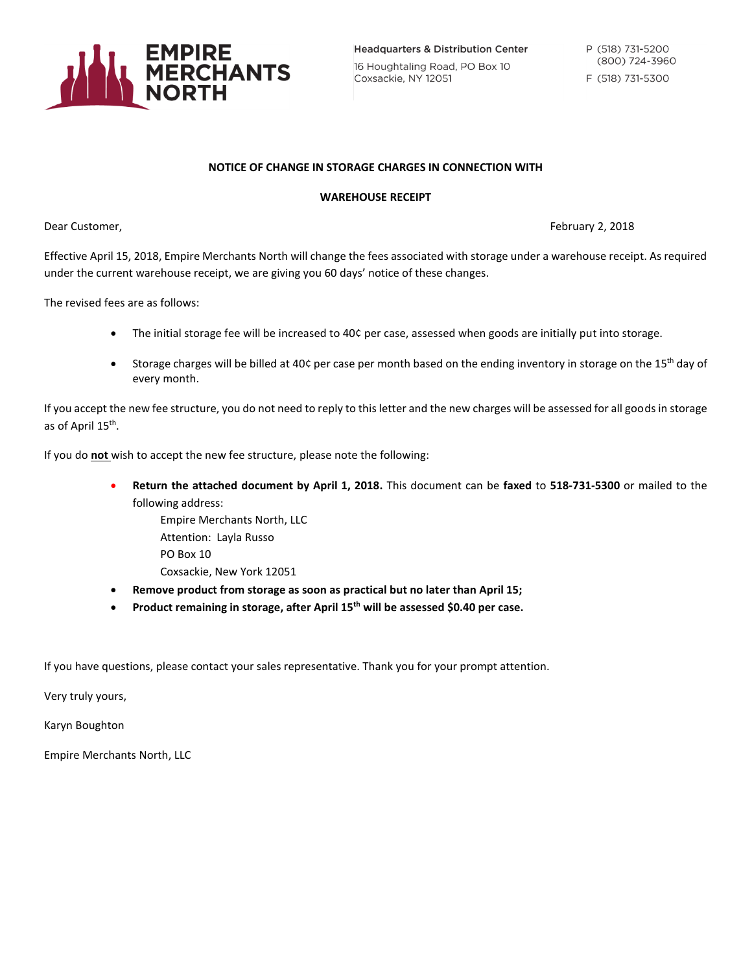

**Headquarters & Distribution Center** 16 Houghtaling Road, PO Box 10 Coxsackie, NY 12051

## **NOTICE OF CHANGE IN STORAGE CHARGES IN CONNECTION WITH**

## **WAREHOUSE RECEIPT**

Dear Customer, February 2, 2018

Effective April 15, 2018, Empire Merchants North will change the fees associated with storage under a warehouse receipt. As required under the current warehouse receipt, we are giving you 60 days' notice of these changes.

The revised fees are as follows:

- The initial storage fee will be increased to 40¢ per case, assessed when goods are initially put into storage.
- Storage charges will be billed at 40¢ per case per month based on the ending inventory in storage on the 15<sup>th</sup> day of every month.

If you accept the new fee structure, you do not need to reply to this letter and the new charges will be assessed for all goods in storage as of April 15<sup>th</sup>.

If you do **not** wish to accept the new fee structure, please note the following:

- **Return the attached document by April 1, 2018.** This document can be **faxed** to **518-731-5300** or mailed to the following address:
	- Empire Merchants North, LLC Attention: Layla Russo PO Box 10 Coxsackie, New York 12051
- **Remove product from storage as soon as practical but no later than April 15;**
- **Product remaining in storage, after April 15th will be assessed \$0.40 per case.**

If you have questions, please contact your sales representative. Thank you for your prompt attention.

Very truly yours,

Karyn Boughton

Empire Merchants North, LLC